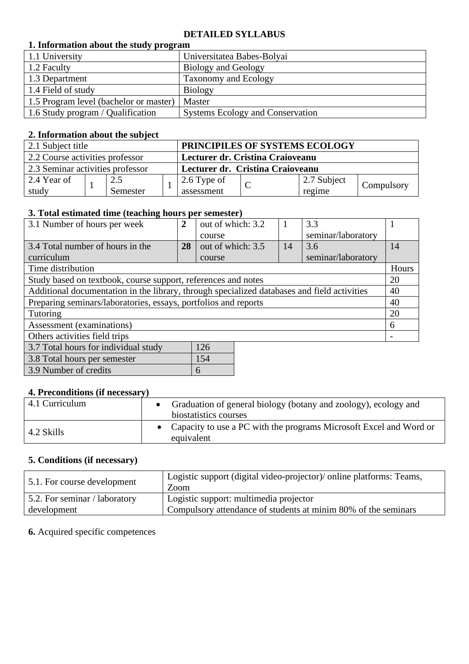#### **DETAILED SYLLABUS**

#### **1. Information about the study program**

| 1. MINUTHRANDII ADOUC AND DEAGLY PLUSIAM. |                                         |
|-------------------------------------------|-----------------------------------------|
| 1.1 University                            | Universitatea Babes-Bolyai              |
| $1.2$ Faculty                             | Biology and Geology                     |
| 1.3 Department                            | <b>Taxonomy and Ecology</b>             |
| 1.4 Field of study                        | Biology                                 |
| 1.5 Program level (bachelor or master)    | Master                                  |
| 1.6 Study program / Qualification         | <b>Systems Ecology and Conservation</b> |
|                                           |                                         |

## **2. Information about the subject**

| 2.1 Subject title                |  |          |                                  | PRINCIPILES OF SYSTEMS ECOLOGY   |          |             |            |
|----------------------------------|--|----------|----------------------------------|----------------------------------|----------|-------------|------------|
| 2.2 Course activities professor  |  |          |                                  | Lecturer dr. Cristina Craioveanu |          |             |            |
| 2.3 Seminar activities professor |  |          | Lecturer dr. Cristina Craioveanu |                                  |          |             |            |
| $\vert$ 2.4 Year of              |  | 2.5      |                                  | 2.6 Type of                      | $\Gamma$ | 2.7 Subject |            |
| study                            |  | Semester |                                  | assessment                       |          | regime      | Compulsory |

# **3. Total estimated time (teaching hours per semester)**

| 3.1 Number of hours per week                                                                | $\overline{2}$ | out of which: 3.2 |    | 3.3                |                          |
|---------------------------------------------------------------------------------------------|----------------|-------------------|----|--------------------|--------------------------|
|                                                                                             |                | course            |    | seminar/laboratory |                          |
| 3.4 Total number of hours in the                                                            | 28             | out of which: 3.5 | 14 | 3.6                | 14                       |
| curriculum                                                                                  |                | course            |    | seminar/laboratory |                          |
| Time distribution                                                                           |                |                   |    |                    | Hours                    |
| Study based on textbook, course support, references and notes                               |                |                   |    |                    |                          |
| Additional documentation in the library, through specialized databases and field activities |                |                   |    |                    |                          |
| Preparing seminars/laboratories, essays, portfolios and reports                             |                |                   |    |                    |                          |
| Tutoring                                                                                    |                |                   |    |                    |                          |
| Assessment (examinations)                                                                   |                |                   |    |                    |                          |
| Others activities field trips                                                               |                |                   |    |                    | $\overline{\phantom{0}}$ |
| 3.7 Total hours for individual study<br>126                                                 |                |                   |    |                    |                          |
| 154<br>3.8 Total hours per semester                                                         |                |                   |    |                    |                          |

3.9 Number of credits 6

#### **4. Preconditions (if necessary)**

| 4.1 Curriculum | Graduation of general biology (botany and zoology), ecology and<br>biostatistics courses |
|----------------|------------------------------------------------------------------------------------------|
| 4.2 Skills     | Capacity to use a PC with the programs Microsoft Excel and Word or<br>equivalent         |

# **5. Conditions (if necessary)**

| 5.1. For course development   | Logistic support (digital video-projector)/ online platforms: Teams,<br>Zoom |
|-------------------------------|------------------------------------------------------------------------------|
| 5.2. For seminar / laboratory | Logistic support: multimedia projector                                       |
| development                   | Compulsory attendance of students at minim 80% of the seminars               |

## **6.** Acquired specific competences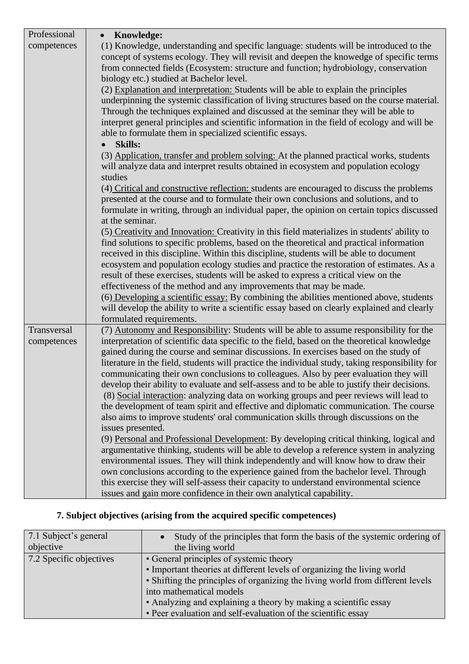| Professional | • Knowledge:                                                                                                                                                                            |
|--------------|-----------------------------------------------------------------------------------------------------------------------------------------------------------------------------------------|
| competences  | (1) Knowledge, understanding and specific language: students will be introduced to the                                                                                                  |
|              | concept of systems ecology. They will revisit and deepen the knowedge of specific terms                                                                                                 |
|              | from connected fields (Ecosystem: structure and function; hydrobiology, conservation                                                                                                    |
|              | biology etc.) studied at Bachelor level.                                                                                                                                                |
|              | (2) Explanation and interpretation: Students will be able to explain the principles                                                                                                     |
|              | underpinning the systemic classification of living structures based on the course material.                                                                                             |
|              | Through the techniques explained and discussed at the seminar they will be able to                                                                                                      |
|              | interpret general principles and scientific information in the field of ecology and will be                                                                                             |
|              | able to formulate them in specialized scientific essays.                                                                                                                                |
|              | <b>Skills:</b><br>$\bullet$                                                                                                                                                             |
|              | (3) Application, transfer and problem solving: At the planned practical works, students                                                                                                 |
|              | will analyze data and interpret results obtained in ecosystem and population ecology<br>studies                                                                                         |
|              | (4) Critical and constructive reflection: students are encouraged to discuss the problems                                                                                               |
|              | presented at the course and to formulate their own conclusions and solutions, and to                                                                                                    |
|              | formulate in writing, through an individual paper, the opinion on certain topics discussed                                                                                              |
|              | at the seminar.                                                                                                                                                                         |
|              | (5) Creativity and Innovation: Creativity in this field materializes in students' ability to                                                                                            |
|              | find solutions to specific problems, based on the theoretical and practical information                                                                                                 |
|              | received in this discipline. Within this discipline, students will be able to document                                                                                                  |
|              | ecosystem and population ecology studies and practice the restoration of estimates. As a                                                                                                |
|              | result of these exercises, students will be asked to express a critical view on the                                                                                                     |
|              | effectiveness of the method and any improvements that may be made.                                                                                                                      |
|              | (6) Developing a scientific essay: By combining the abilities mentioned above, students                                                                                                 |
|              | will develop the ability to write a scientific essay based on clearly explained and clearly                                                                                             |
|              | formulated requirements.                                                                                                                                                                |
| Transversal  | (7) Autonomy and Responsibility: Students will be able to assume responsibility for the                                                                                                 |
| competences  | interpretation of scientific data specific to the field, based on the theoretical knowledge                                                                                             |
|              | gained during the course and seminar discussions. In exercises based on the study of                                                                                                    |
|              | literature in the field, students will practice the individual study, taking responsibility for<br>communicating their own conclusions to colleagues. Also by peer evaluation they will |
|              | develop their ability to evaluate and self-assess and to be able to justify their decisions.                                                                                            |
|              | (8) Social interaction: analyzing data on working groups and peer reviews will lead to                                                                                                  |
|              | the development of team spirit and effective and diplomatic communication. The course                                                                                                   |
|              | also aims to improve students' oral communication skills through discussions on the                                                                                                     |
|              | issues presented.                                                                                                                                                                       |
|              | (9) Personal and Professional Development: By developing critical thinking, logical and                                                                                                 |
|              | argumentative thinking, students will be able to develop a reference system in analyzing                                                                                                |
|              | environmental issues. They will think independently and will know how to draw their                                                                                                     |
|              | own conclusions according to the experience gained from the bachelor level. Through                                                                                                     |
|              | this exercise they will self-assess their capacity to understand environmental science                                                                                                  |
|              | issues and gain more confidence in their own analytical capability.                                                                                                                     |

# **7. Subject objectives (arising from the acquired specific competences)**

| 7.1 Subject's general   | Study of the principles that form the basis of the systemic ordering of        |  |  |
|-------------------------|--------------------------------------------------------------------------------|--|--|
| objective               | the living world                                                               |  |  |
| 7.2 Specific objectives | • General principles of systemic theory                                        |  |  |
|                         | • Important theories at different levels of organizing the living world        |  |  |
|                         | • Shifting the principles of organizing the living world from different levels |  |  |
|                         | into mathematical models                                                       |  |  |
|                         | • Analyzing and explaining a theory by making a scientific essay               |  |  |
|                         | • Peer evaluation and self-evaluation of the scientific essay                  |  |  |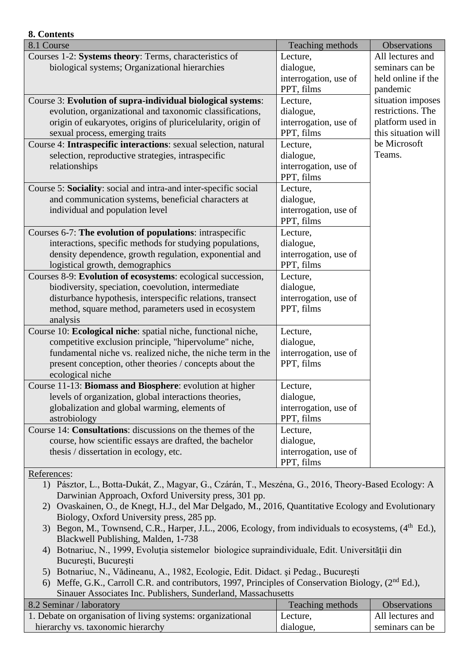| 8. Contents                                                                                                                                                                          |                                     |                     |  |  |  |
|--------------------------------------------------------------------------------------------------------------------------------------------------------------------------------------|-------------------------------------|---------------------|--|--|--|
| 8.1 Course                                                                                                                                                                           | Teaching methods                    | Observations        |  |  |  |
| Courses 1-2: Systems theory: Terms, characteristics of                                                                                                                               | Lecture,                            | All lectures and    |  |  |  |
| biological systems; Organizational hierarchies                                                                                                                                       | dialogue,                           | seminars can be     |  |  |  |
|                                                                                                                                                                                      | interrogation, use of               | held online if the  |  |  |  |
|                                                                                                                                                                                      | PPT, films                          | pandemic            |  |  |  |
| Course 3: Evolution of supra-individual biological systems:                                                                                                                          | Lecture,                            | situation imposes   |  |  |  |
| evolution, organizational and taxonomic classifications,                                                                                                                             | dialogue,                           | restrictions. The   |  |  |  |
| origin of eukaryotes, origins of pluricelularity, origin of                                                                                                                          | interrogation, use of               | platform used in    |  |  |  |
| sexual process, emerging traits                                                                                                                                                      | PPT, films                          | this situation will |  |  |  |
| Course 4: Intraspecific interactions: sexual selection, natural                                                                                                                      | Lecture,                            | be Microsoft        |  |  |  |
| selection, reproductive strategies, intraspecific                                                                                                                                    | dialogue,                           | Teams.              |  |  |  |
| relationships                                                                                                                                                                        | interrogation, use of               |                     |  |  |  |
|                                                                                                                                                                                      | PPT, films                          |                     |  |  |  |
| Course 5: Sociality: social and intra-and inter-specific social                                                                                                                      | Lecture,                            |                     |  |  |  |
| and communication systems, beneficial characters at                                                                                                                                  | dialogue,                           |                     |  |  |  |
| individual and population level                                                                                                                                                      | interrogation, use of               |                     |  |  |  |
|                                                                                                                                                                                      | PPT, films                          |                     |  |  |  |
| Courses 6-7: The evolution of populations: intraspecific                                                                                                                             | Lecture,                            |                     |  |  |  |
| interactions, specific methods for studying populations,                                                                                                                             | dialogue,                           |                     |  |  |  |
| density dependence, growth regulation, exponential and                                                                                                                               | interrogation, use of               |                     |  |  |  |
| logistical growth, demographics                                                                                                                                                      | PPT, films                          |                     |  |  |  |
| Courses 8-9: Evolution of ecosystems: ecological succession,                                                                                                                         | Lecture,                            |                     |  |  |  |
| biodiversity, speciation, coevolution, intermediate                                                                                                                                  | dialogue,                           |                     |  |  |  |
|                                                                                                                                                                                      | interrogation, use of               |                     |  |  |  |
| disturbance hypothesis, interspecific relations, transect                                                                                                                            | PPT, films                          |                     |  |  |  |
| method, square method, parameters used in ecosystem<br>analysis                                                                                                                      |                                     |                     |  |  |  |
| Course 10: Ecological niche: spatial niche, functional niche,                                                                                                                        | Lecture,                            |                     |  |  |  |
| competitive exclusion principle, "hipervolume" niche,                                                                                                                                | dialogue,                           |                     |  |  |  |
| fundamental niche vs. realized niche, the niche term in the                                                                                                                          | interrogation, use of               |                     |  |  |  |
|                                                                                                                                                                                      | PPT, films                          |                     |  |  |  |
| present conception, other theories / concepts about the                                                                                                                              |                                     |                     |  |  |  |
| ecological niche                                                                                                                                                                     |                                     |                     |  |  |  |
| Course 11-13: Biomass and Biosphere: evolution at higher                                                                                                                             | Lecture,                            |                     |  |  |  |
| levels of organization, global interactions theories,                                                                                                                                | dialogue,                           |                     |  |  |  |
| globalization and global warming, elements of<br>astrobiology                                                                                                                        | interrogation, use of<br>PPT, films |                     |  |  |  |
| Course 14: Consultations: discussions on the themes of the                                                                                                                           | Lecture,                            |                     |  |  |  |
| course, how scientific essays are drafted, the bachelor                                                                                                                              | dialogue,                           |                     |  |  |  |
| thesis / dissertation in ecology, etc.                                                                                                                                               | interrogation, use of               |                     |  |  |  |
|                                                                                                                                                                                      | PPT, films                          |                     |  |  |  |
|                                                                                                                                                                                      |                                     |                     |  |  |  |
| References:<br>1) Pásztor, L., Botta-Dukát, Z., Magyar, G., Czárán, T., Meszéna, G., 2016, Theory-Based Ecology: A                                                                   |                                     |                     |  |  |  |
| Darwinian Approach, Oxford University press, 301 pp.                                                                                                                                 |                                     |                     |  |  |  |
|                                                                                                                                                                                      |                                     |                     |  |  |  |
| 2) Ovaskainen, O., de Knegt, H.J., del Mar Delgado, M., 2016, Quantitative Ecology and Evolutionary                                                                                  |                                     |                     |  |  |  |
| Biology, Oxford University press, 285 pp.                                                                                                                                            |                                     |                     |  |  |  |
| 3) Begon, M., Townsend, C.R., Harper, J.L., 2006, Ecology, from individuals to ecosystems, (4th Ed.),                                                                                |                                     |                     |  |  |  |
| Blackwell Publishing, Malden, 1-738                                                                                                                                                  |                                     |                     |  |  |  |
| 4) Botnariuc, N., 1999, Evoluția sistemelor biologice supraindividuale, Edit. Universității din                                                                                      |                                     |                     |  |  |  |
| București, București                                                                                                                                                                 |                                     |                     |  |  |  |
| 5) Botnariuc, N., Vădineanu, A., 1982, Ecologie, Edit. Didact. și Pedag., București<br>6) Meffe GK Carroll CR and contributors 1997 Principles of Conservation Biology $(2^{nd} Ed)$ |                                     |                     |  |  |  |

:ontributors, 1997, Principles of Conservation Biology, (2<sup>nd</sup> Ed.), Sinauer Associates Inc. Publishers, Sunderland, Massachusetts

| 8.2 Seminar / laboratory                                    | <b>Teaching methods</b> | <b>Observations</b> |
|-------------------------------------------------------------|-------------------------|---------------------|
| 1. Debate on organisation of living systems: organizational | Lecture,                | All lectures and    |
| hierarchy vs. taxonomic hierarchy                           | dialogue,               | seminars can be     |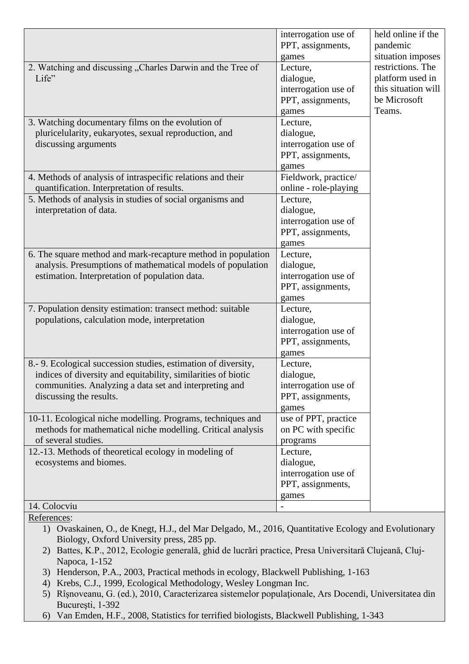|                                                               | interrogation use of<br>PPT, assignments, | held online if the<br>pandemic |
|---------------------------------------------------------------|-------------------------------------------|--------------------------------|
|                                                               | games                                     | situation imposes              |
| 2. Watching and discussing "Charles Darwin and the Tree of    | Lecture,                                  | restrictions. The              |
| Life"                                                         | dialogue,                                 | platform used in               |
|                                                               | interrogation use of                      | this situation will            |
|                                                               | PPT, assignments,                         | be Microsoft                   |
|                                                               |                                           | Teams.                         |
|                                                               | games                                     |                                |
| 3. Watching documentary films on the evolution of             | Lecture,                                  |                                |
| pluricelularity, eukaryotes, sexual reproduction, and         | dialogue,                                 |                                |
| discussing arguments                                          | interrogation use of                      |                                |
|                                                               | PPT, assignments,                         |                                |
|                                                               | games                                     |                                |
| 4. Methods of analysis of intraspecific relations and their   | Fieldwork, practice/                      |                                |
| quantification. Interpretation of results.                    | online - role-playing                     |                                |
| 5. Methods of analysis in studies of social organisms and     | Lecture,                                  |                                |
| interpretation of data.                                       | dialogue,                                 |                                |
|                                                               | interrogation use of                      |                                |
|                                                               | PPT, assignments,                         |                                |
|                                                               | games                                     |                                |
| 6. The square method and mark-recapture method in population  | Lecture,                                  |                                |
| analysis. Presumptions of mathematical models of population   | dialogue,                                 |                                |
| estimation. Interpretation of population data.                | interrogation use of                      |                                |
|                                                               | PPT, assignments,                         |                                |
|                                                               | games                                     |                                |
| 7. Population density estimation: transect method: suitable   | Lecture,                                  |                                |
| populations, calculation mode, interpretation                 | dialogue,                                 |                                |
|                                                               | interrogation use of                      |                                |
|                                                               | PPT, assignments,                         |                                |
|                                                               | games                                     |                                |
| 8.-9. Ecological succession studies, estimation of diversity, | Lecture,                                  |                                |
| indices of diversity and equitability, similarities of biotic | dialogue,                                 |                                |
| communities. Analyzing a data set and interpreting and        | interrogation use of                      |                                |
| discussing the results.                                       | PPT, assignments,                         |                                |
|                                                               | games                                     |                                |
| 10-11. Ecological niche modelling. Programs, techniques and   | use of PPT, practice                      |                                |
| methods for mathematical niche modelling. Critical analysis   | on PC with specific                       |                                |
| of several studies.                                           |                                           |                                |
| 12.-13. Methods of theoretical ecology in modeling of         | programs<br>Lecture,                      |                                |
|                                                               |                                           |                                |
| ecosystems and biomes.                                        | dialogue,                                 |                                |
|                                                               | interrogation use of                      |                                |
|                                                               | PPT, assignments,                         |                                |
|                                                               | games                                     |                                |
| 14. Colocviu                                                  |                                           |                                |

## References:

- 1) Ovaskainen, O., de Knegt, H.J., del Mar Delgado, M., 2016, Quantitative Ecology and Evolutionary Biology, Oxford University press, 285 pp.
- 2) Battes, K.P., 2012, Ecologie generală, ghid de lucrări practice, Presa Universitară Clujeană, Cluj-Napoca, 1-152
- 3) Henderson, P.A., 2003, Practical methods in ecology, Blackwell Publishing, 1-163
- 4) Krebs, C.J., 1999, Ecological Methodology, Wesley Longman Inc.
- 5) Rîşnoveanu, G. (ed.), 2010, Caracterizarea sistemelor populaţionale, Ars Docendi, Universitatea din Bucureşti, 1-392
- 6) Van Emden, H.F., 2008, Statistics for terrified biologists, Blackwell Publishing, 1-343